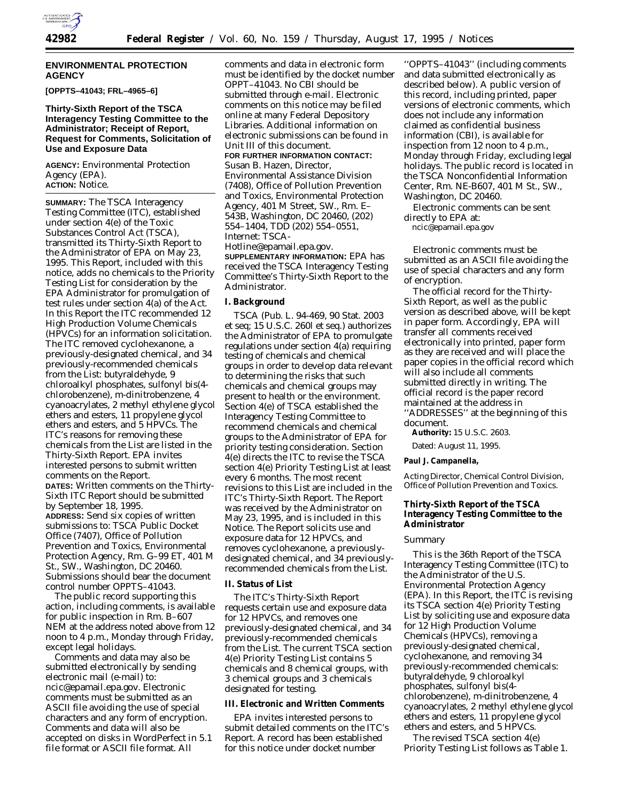

### **ENVIRONMENTAL PROTECTION AGENCY**

**[OPPTS–41043; FRL–4965–6]**

## **Thirty-Sixth Report of the TSCA Interagency Testing Committee to the Administrator; Receipt of Report, Request for Comments, Solicitation of Use and Exposure Data**

**AGENCY:** Environmental Protection Agency (EPA). **ACTION:** Notice.

**SUMMARY:** The TSCA Interagency Testing Committee (ITC), established under section 4(e) of the Toxic Substances Control Act (TSCA), transmitted its Thirty-Sixth Report to the Administrator of EPA on May 23, 1995. This Report, included with this notice, adds no chemicals to the Priority Testing List for consideration by the EPA Administrator for promulgation of test rules under section 4(a) of the Act. In this Report the ITC recommended 12 High Production Volume Chemicals (HPVCs) for an information solicitation. The ITC removed cyclohexanone, a previously-designated chemical, and 34 previously-recommended chemicals from the List: butyraldehyde, 9 chloroalkyl phosphates, sulfonyl bis(4 chlorobenzene), *m-*dinitrobenzene, 4 cyanoacrylates, 2 methyl ethylene glycol ethers and esters, 11 propylene glycol ethers and esters, and 5 HPVCs. The ITC's reasons for removing these chemicals from the List are listed in the Thirty-Sixth Report. EPA invites interested persons to submit written comments on the Report. **DATES:** Written comments on the Thirty-Sixth ITC Report should be submitted by September 18, 1995. **ADDRESS:** Send six copies of written submissions to: TSCA Public Docket Office (7407), Office of Pollution Prevention and Toxics, Environmental Protection Agency, Rm. G–99 ET, 401 M St., SW., Washington, DC 20460. Submissions should bear the document control number OPPTS–41043.

The public record supporting this action, including comments, is available for public inspection in Rm. B–607 NEM at the address noted above from 12 noon to 4 p.m., Monday through Friday, except legal holidays.

Comments and data may also be submitted electronically by sending electronic mail (e-mail) to: ncic@epamail.epa.gov. Electronic comments must be submitted as an ASCII file avoiding the use of special characters and any form of encryption. Comments and data will also be accepted on disks in WordPerfect in 5.1 file format or ASCII file format. All

comments and data in electronic form must be identified by the docket number OPPT–41043. No CBI should be submitted through e-mail. Electronic comments on this notice may be filed online at many Federal Depository Libraries. Additional information on electronic submissions can be found in Unit III of this document. **FOR FURTHER INFORMATION CONTACT:** Susan B. Hazen, Director, Environmental Assistance Division

(7408), Office of Pollution Prevention and Toxics, Environmental Protection Agency, 401 M Street, SW., Rm. E– 543B, Washington, DC 20460, (202) 554–1404, TDD (202) 554–0551, Internet: TSCA-

Hotline@epamail.epa.gov. **SUPPLEMENTARY INFORMATION:** EPA has received the TSCA Interagency Testing Committee's Thirty-Sixth Report to the Administrator.

### **I. Background**

TSCA (Pub. L. 94-469, 90 Stat. 2003 et seq; 15 U.S.C. 260l et seq.) authorizes the Administrator of EPA to promulgate regulations under section 4(a) requiring testing of chemicals and chemical groups in order to develop data relevant to determining the risks that such chemicals and chemical groups may present to health or the environment. Section 4(e) of TSCA established the Interagency Testing Committee to recommend chemicals and chemical groups to the Administrator of EPA for priority testing consideration. Section 4(e) directs the ITC to revise the TSCA section 4(e) Priority Testing List at least every 6 months. The most recent revisions to this List are included in the ITC's Thirty-Sixth Report. The Report was received by the Administrator on May 23, 1995, and is included in this Notice. The Report solicits use and exposure data for 12 HPVCs, and removes cyclohexanone, a previouslydesignated chemical, and 34 previouslyrecommended chemicals from the List.

### **II. Status of List**

The ITC's Thirty-Sixth Report requests certain use and exposure data for 12 HPVCs, and removes one previously-designated chemical, and 34 previously-recommended chemicals from the List. The current TSCA section 4(e) Priority Testing List contains 5 chemicals and 8 chemical groups, with 3 chemical groups and 3 chemicals designated for testing.

## **III. Electronic and Written Comments**

EPA invites interested persons to submit detailed comments on the ITC's Report. A record has been established for this notice under docket number

''OPPTS–41043'' (including comments and data submitted electronically as described below). A public version of this record, including printed, paper versions of electronic comments, which does not include any information claimed as confidential business information (CBI), is available for inspection from 12 noon to 4 p.m., Monday through Friday, excluding legal holidays. The public record is located in the TSCA Nonconfidential Information Center, Rm. NE-B607, 401 M St., SW., Washington, DC 20460.

Electronic comments can be sent directly to EPA at:

ncic@epamail.epa.gov

Electronic comments must be submitted as an ASCII file avoiding the use of special characters and any form of encryption.

The official record for the Thirty-Sixth Report, as well as the public version as described above, will be kept in paper form. Accordingly, EPA will transfer all comments received electronically into printed, paper form as they are received and will place the paper copies in the official record which will also include all comments submitted directly in writing. The official record is the paper record maintained at the address in ''ADDRESSES'' at the beginning of this document.

**Authority:** 15 U.S.C. 2603.

Dated: August 11, 1995.

#### **Paul J. Campanella,**

*Acting Director, Chemical Control Division, Office of Pollution Prevention and Toxics.*

## **Thirty-Sixth Report of the TSCA Interagency Testing Committee to the Administrator**

### *Summary*

This is the 36th Report of the TSCA Interagency Testing Committee (ITC) to the Administrator of the U.S. Environmental Protection Agency (EPA). In this Report, the ITC is revising its TSCA section 4(e) Priority Testing List by soliciting use and exposure data for 12 High Production Volume Chemicals (HPVCs), removing a previously-designated chemical, cyclohexanone, and removing 34 previously-recommended chemicals: butyraldehyde, 9 chloroalkyl phosphates, sulfonyl bis(4 chlorobenzene), *m-*dinitrobenzene, 4 cyanoacrylates, 2 methyl ethylene glycol ethers and esters, 11 propylene glycol ethers and esters, and 5 HPVCs.

The revised TSCA section 4(e) Priority Testing List follows as Table 1.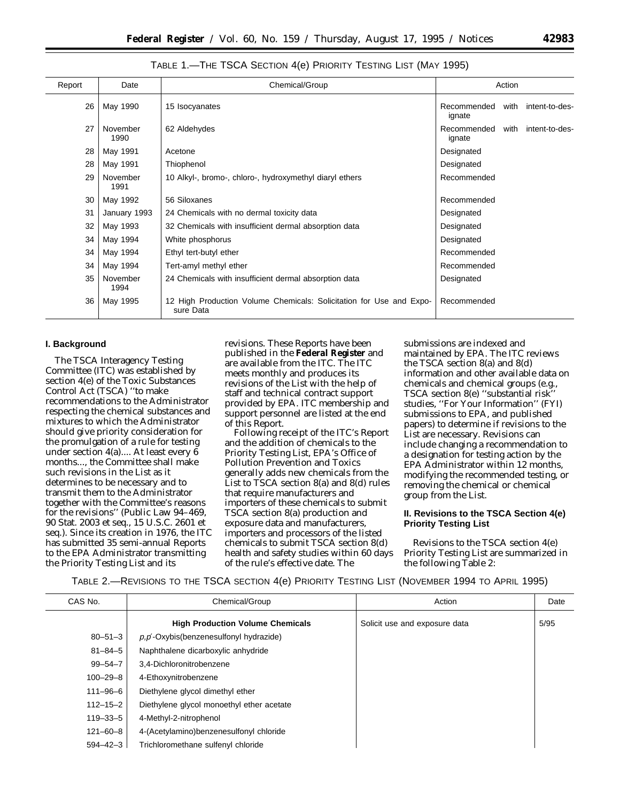## TABLE 1.—THE TSCA SECTION 4(e) PRIORITY TESTING LIST (MAY 1995)

| Report | Date             | Chemical/Group                                                                   | Action                |      |                |
|--------|------------------|----------------------------------------------------------------------------------|-----------------------|------|----------------|
| 26     | May 1990         | 15 Isocyanates                                                                   | Recommended<br>ignate | with | intent-to-des- |
| 27     | November<br>1990 | 62 Aldehydes                                                                     | Recommended<br>ignate | with | intent-to-des- |
| 28     | May 1991         | Acetone                                                                          | Designated            |      |                |
| 28     | May 1991         | Thiophenol                                                                       | Designated            |      |                |
| 29     | November<br>1991 | 10 Alkyl-, bromo-, chloro-, hydroxymethyl diaryl ethers                          | Recommended           |      |                |
| 30     | May 1992         | 56 Siloxanes                                                                     | Recommended           |      |                |
| 31     | January 1993     | 24 Chemicals with no dermal toxicity data                                        | Designated            |      |                |
| 32     | May 1993         | 32 Chemicals with insufficient dermal absorption data                            | Designated            |      |                |
| 34     | May 1994         | White phosphorus                                                                 | Designated            |      |                |
| 34     | May 1994         | Ethyl tert-butyl ether                                                           | Recommended           |      |                |
| 34     | May 1994         | Tert-amyl methyl ether                                                           | Recommended           |      |                |
| 35     | November<br>1994 | 24 Chemicals with insufficient dermal absorption data                            | Designated            |      |                |
| 36     | May 1995         | 12 High Production Volume Chemicals: Solicitation for Use and Expo-<br>sure Data | Recommended           |      |                |

## **I. Background**

The TSCA Interagency Testing Committee (ITC) was established by section 4(e) of the Toxic Substances Control Act (TSCA) ''to make recommendations to the Administrator respecting the chemical substances and mixtures to which the Administrator should give priority consideration for the promulgation of a rule for testing under section 4(a).... At least every 6 months..., the Committee shall make such revisions in the List as it determines to be necessary and to transmit them to the Administrator together with the Committee's reasons for the revisions'' (Public Law 94–469, 90 Stat. 2003 et seq., 15 U.S.C. 2601 et seq.). Since its creation in 1976, the ITC has submitted 35 semi-annual Reports to the EPA Administrator transmitting the Priority Testing List and its

revisions. These Reports have been published in the **Federal Register** and are available from the ITC. The ITC meets monthly and produces its revisions of the List with the help of staff and technical contract support provided by EPA. ITC membership and support personnel are listed at the end of this Report.

Following receipt of the ITC's Report and the addition of chemicals to the Priority Testing List, EPA's Office of Pollution Prevention and Toxics generally adds new chemicals from the List to TSCA section 8(a) and 8(d) rules that require manufacturers and importers of these chemicals to submit TSCA section 8(a) production and exposure data and manufacturers, importers and processors of the listed chemicals to submit TSCA section 8(d) health and safety studies within 60 days of the rule's effective date. The

submissions are indexed and maintained by EPA. The ITC reviews the TSCA section 8(a) and 8(d) information and other available data on chemicals and chemical groups (e.g., TSCA section 8(e) ''substantial risk'' studies, ''For Your Information'' (FYI) submissions to EPA, and published papers) to determine if revisions to the List are necessary. Revisions can include changing a recommendation to a designation for testing action by the EPA Administrator within 12 months, modifying the recommended testing, or removing the chemical or chemical group from the List.

# **II. Revisions to the TSCA Section 4(e) Priority Testing List**

Revisions to the TSCA section 4(e) Priority Testing List are summarized in the following Table 2:

TABLE 2.—REVISIONS TO THE TSCA SECTION 4(e) PRIORITY TESTING LIST (NOVEMBER 1994 TO APRIL 1995)

| CAS No.        | Chemical/Group                            | Action                        | Date |
|----------------|-------------------------------------------|-------------------------------|------|
|                | <b>High Production Volume Chemicals</b>   | Solicit use and exposure data | 5/95 |
| $80 - 51 - 3$  | p,p'-Oxybis(benzenesulfonyl hydrazide)    |                               |      |
| $81 - 84 - 5$  | Naphthalene dicarboxylic anhydride        |                               |      |
| $99 - 54 - 7$  | 3.4-Dichloronitrobenzene                  |                               |      |
| $100 - 29 - 8$ | 4-Ethoxynitrobenzene                      |                               |      |
| $111 - 96 - 6$ | Diethylene glycol dimethyl ether          |                               |      |
| $112 - 15 - 2$ | Diethylene glycol monoethyl ether acetate |                               |      |
| $119 - 33 - 5$ | 4-Methyl-2-nitrophenol                    |                               |      |
| $121 - 60 - 8$ | 4-(Acetylamino)benzenesulfonyl chloride   |                               |      |
| $594 - 42 - 3$ | Trichloromethane sulfenyl chloride        |                               |      |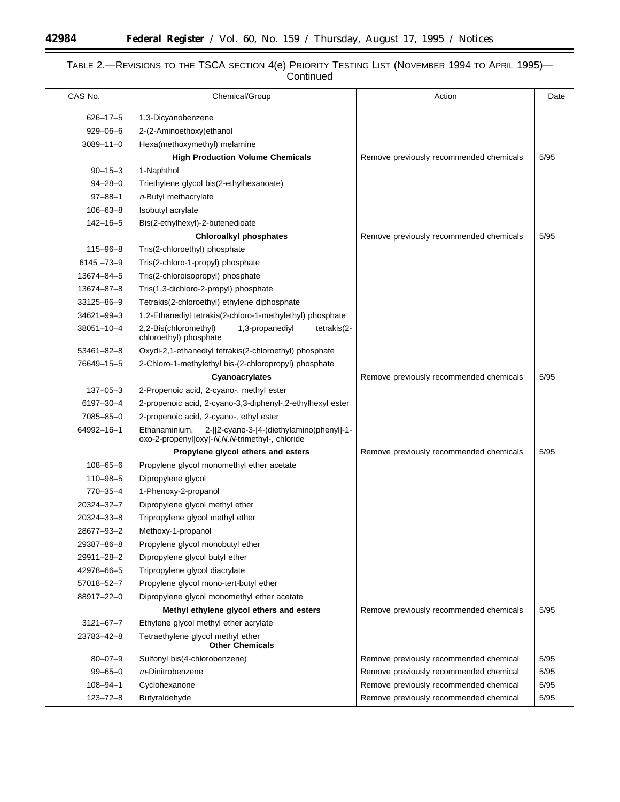Ξ

▀

# TABLE 2.—REVISIONS TO THE TSCA SECTION 4(e) PRIORITY TESTING LIST (NOVEMBER 1994 TO APRIL 1995)— Continued

| CAS No.         | Chemical/Group                                                                                               | Action                                  | Date   |
|-----------------|--------------------------------------------------------------------------------------------------------------|-----------------------------------------|--------|
| $626 - 17 - 5$  | 1,3-Dicyanobenzene                                                                                           |                                         |        |
| $929 - 06 - 6$  | 2-(2-Aminoethoxy) ethanol                                                                                    |                                         |        |
| $3089 - 11 - 0$ | Hexa(methoxymethyl) melamine                                                                                 |                                         |        |
|                 | <b>High Production Volume Chemicals</b>                                                                      | Remove previously recommended chemicals | 5/95   |
| $90 - 15 - 3$   | 1-Naphthol                                                                                                   |                                         |        |
| $94 - 28 - 0$   | Triethylene glycol bis(2-ethylhexanoate)                                                                     |                                         |        |
| $97 - 88 - 1$   | n-Butyl methacrylate                                                                                         |                                         |        |
| $106 - 63 - 8$  | <b>Isobutyl</b> acrylate                                                                                     |                                         |        |
| $142 - 16 - 5$  | Bis(2-ethylhexyl)-2-butenedioate                                                                             |                                         |        |
|                 | <b>Chloroalkyl phosphates</b>                                                                                | Remove previously recommended chemicals | 5/95   |
| $115 - 96 - 8$  | Tris(2-chloroethyl) phosphate                                                                                |                                         |        |
| $6145 - 73 - 9$ | Tris(2-chloro-1-propyl) phosphate                                                                            |                                         |        |
| 13674-84-5      | Tris(2-chloroisopropyl) phosphate                                                                            |                                         |        |
| 13674-87-8      | Tris(1,3-dichloro-2-propyl) phosphate                                                                        |                                         |        |
| 33125-86-9      | Tetrakis(2-chloroethyl) ethylene diphosphate                                                                 |                                         |        |
| 34621-99-3      | 1,2-Ethanediyl tetrakis(2-chloro-1-methylethyl) phosphate                                                    |                                         |        |
| 38051-10-4      | 2,2-Bis(chloromethyl)<br>1,3-propanediyl<br>tetrakis(2-<br>chloroethyl) phosphate                            |                                         |        |
| 53461-82-8      | Oxydi-2,1-ethanediyl tetrakis(2-chloroethyl) phosphate                                                       |                                         |        |
| 76649-15-5      | 2-Chloro-1-methylethyl bis-(2-chloropropyl) phosphate                                                        |                                         |        |
|                 | Cyanoacrylates                                                                                               | Remove previously recommended chemicals | 5/95   |
| $137 - 05 - 3$  | 2-Propenoic acid, 2-cyano-, methyl ester                                                                     |                                         |        |
| 6197-30-4       | 2-propenoic acid, 2-cyano-3,3-diphenyl-,2-ethylhexyl ester                                                   |                                         |        |
| 7085-85-0       | 2-propenoic acid, 2-cyano-, ethyl ester                                                                      |                                         |        |
| 64992-16-1      | Ethanaminium,<br>2-[[2-cyano-3-[4-(diethylamino)phenyl]-1-<br>oxo-2-propenyl]oxy]-N,N,N-trimethyl-, chloride |                                         |        |
|                 | Propylene glycol ethers and esters                                                                           | Remove previously recommended chemicals | 5/95   |
| $108 - 65 - 6$  | Propylene glycol monomethyl ether acetate                                                                    |                                         |        |
| $110 - 98 - 5$  | Dipropylene glycol                                                                                           |                                         |        |
| $770 - 35 - 4$  | 1-Phenoxy-2-propanol                                                                                         |                                         |        |
| 20324-32-7      | Dipropylene glycol methyl ether                                                                              |                                         |        |
| 20324-33-8      | Tripropylene glycol methyl ether                                                                             |                                         |        |
| 28677-93-2      | Methoxy-1-propanol                                                                                           |                                         |        |
| 29387-86-8      | Propylene glycol monobutyl ether                                                                             |                                         |        |
| 29911-28-2      | Dipropylene glycol butyl ether                                                                               |                                         |        |
| 42978-66-5      | Tripropylene glycol diacrylate                                                                               |                                         |        |
| 57018-52-7      | Propylene glycol mono-tert-butyl ether                                                                       |                                         |        |
| 88917-22-0      | Dipropylene glycol monomethyl ether acetate                                                                  |                                         |        |
|                 | Methyl ethylene glycol ethers and esters                                                                     | Remove previously recommended chemicals | 5/95   |
| $3121 - 67 - 7$ | Ethylene glycol methyl ether acrylate                                                                        |                                         |        |
| 23783-42-8      | Tetraethylene glycol methyl ether<br><b>Other Chemicals</b>                                                  |                                         |        |
| $80 - 07 - 9$   | Sulfonyl bis(4-chlorobenzene)                                                                                | Remove previously recommended chemical  | 5/95   |
| $99 - 65 - 0$   | <i>m</i> -Dinitrobenzene                                                                                     | Remove previously recommended chemical  | 5/95   |
| $108 - 94 - 1$  | Cyclohexanone                                                                                                | Remove previously recommended chemical  | 5/95   |
| $123 - 72 - 8$  | Butyraldehyde                                                                                                | Remove previously recommended chemical  | $5/95$ |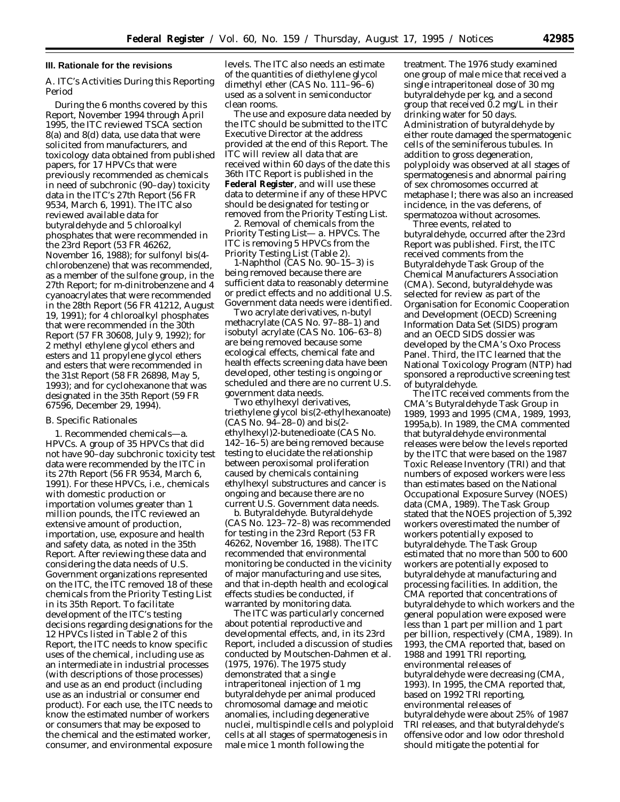### **III. Rationale for the revisions**

## *A. ITC's Activities During this Reporting Period*

During the 6 months covered by this Report, November 1994 through April 1995, the ITC reviewed TSCA section 8(a) and 8(d) data, use data that were solicited from manufacturers, and toxicology data obtained from published papers, for 17 HPVCs that were previously recommended as chemicals in need of subchronic (90–day) toxicity data in the ITC's 27th Report (56 FR 9534, March 6, 1991). The ITC also reviewed available data for butyraldehyde and 5 chloroalkyl phosphates that were recommended in the 23rd Report (53 FR 46262, November 16, 1988); for sulfonyl bis(4 chlorobenzene) that was recommended, as a member of the sulfone group, in the 27th Report; for *m*-dinitrobenzene and 4 cyanoacrylates that were recommended in the 28th Report (56 FR 41212, August 19, 1991); for 4 chloroalkyl phosphates that were recommended in the 30th Report (57 FR 30608, July 9, 1992); for 2 methyl ethylene glycol ethers and esters and 11 propylene glycol ethers and esters that were recommended in the 31st Report (58 FR 26898, May 5, 1993); and for cyclohexanone that was designated in the 35th Report (59 FR 67596, December 29, 1994).

### *B. Specific Rationales*

1. Recommended chemicals—a. *HPVCs.* A group of 35 HPVCs that did not have 90–day subchronic toxicity test data were recommended by the ITC in its 27th Report (56 FR 9534, March 6, 1991). For these HPVCs, i.e., chemicals with domestic production or importation volumes greater than 1 million pounds, the ITC reviewed an extensive amount of production, importation, use, exposure and health and safety data, as noted in the 35th Report. After reviewing these data and considering the data needs of U.S. Government organizations represented on the ITC, the ITC removed 18 of these chemicals from the Priority Testing List in its 35th Report. To facilitate development of the ITC's testing decisions regarding designations for the 12 HPVCs listed in Table 2 of this Report, the ITC needs to know specific uses of the chemical, including use as an intermediate in industrial processes (with descriptions of those processes) and use as an end product (including use as an industrial or consumer end product). For each use, the ITC needs to know the estimated number of workers or consumers that may be exposed to the chemical and the estimated worker, consumer, and environmental exposure

levels. The ITC also needs an estimate of the quantities of diethylene glycol dimethyl ether (CAS No. 111–96–6) used as a solvent in semiconductor clean rooms.

The use and exposure data needed by the ITC should be submitted to the ITC Executive Director at the address provided at the end of this Report. The ITC will review all data that are received within 60 days of the date this 36th ITC Report is published in the **Federal Register**, and will use these data to determine if any of these HPVC should be designated for testing or removed from the Priority Testing List.

2. *Removal of chemicals from the Priority Testing List— a. HPVCs*. The ITC is removing 5 HPVCs from the Priority Testing List (Table 2).

1-Naphthol (CAS No. 90–15–3) is being removed because there are sufficient data to reasonably determine or predict effects and no additional U.S. Government data needs were identified.

Two acrylate derivatives, *n-*butyl methacrylate (CAS No. 97–88–1) and isobutyl acrylate (CAS No. 106–63–8) are being removed because some ecological effects, chemical fate and health effects screening data have been developed, other testing is ongoing or scheduled and there are no current U.S. government data needs.

Two ethylhexyl derivatives, triethylene glycol bis(2-ethylhexanoate)  $(CAS$  No.  $94-28-0$ ) and bis(2ethylhexyl)2-butenedioate (CAS No. 142–16–5) are being removed because testing to elucidate the relationship between peroxisomal proliferation caused by chemicals containing ethylhexyl substructures and cancer is ongoing and because there are no current U.S. Government data needs.

b. *Butyraldehyde.* Butyraldehyde (CAS No. 123–72–8) was recommended for testing in the 23rd Report (53 FR 46262, November 16, 1988). The ITC recommended that environmental monitoring be conducted in the vicinity of major manufacturing and use sites, and that in-depth health and ecological effects studies be conducted, if warranted by monitoring data.

The ITC was particularly concerned about potential reproductive and developmental effects, and, in its 23rd Report, included a discussion of studies conducted by Moutschen-Dahmen et al. (1975, 1976). The 1975 study demonstrated that a single intraperitoneal injection of 1 mg butyraldehyde per animal produced chromosomal damage and meiotic anomalies, including degenerative nuclei, multispindle cells and polyploid cells at all stages of spermatogenesis in male mice 1 month following the

treatment. The 1976 study examined one group of male mice that received a single intraperitoneal dose of 30 mg butyraldehyde per kg, and a second group that received  $0.2 \text{ mg/L}$  in their drinking water for 50 days. Administration of butyraldehyde by either route damaged the spermatogenic cells of the seminiferous tubules. In addition to gross degeneration, polyploidy was observed at all stages of spermatogenesis and abnormal pairing of sex chromosomes occurred at metaphase I; there was also an increased incidence, in the vas deferens, of spermatozoa without acrosomes.

Three events, related to butyraldehyde, occurred after the 23rd Report was published. First, the ITC received comments from the Butyraldehyde Task Group of the Chemical Manufacturers Association (CMA). Second, butyraldehyde was selected for review as part of the Organisation for Economic Cooperation and Development (OECD) Screening Information Data Set (SIDS) program and an OECD SIDS dossier was developed by the CMA's Oxo Process Panel. Third, the ITC learned that the National Toxicology Program (NTP) had sponsored a reproductive screening test of butyraldehyde.

The ITC received comments from the CMA's Butyraldehyde Task Group in 1989, 1993 and 1995 (CMA, 1989, 1993, 1995a,b). In 1989, the CMA commented that butyraldehyde environmental releases were below the levels reported by the ITC that were based on the 1987 Toxic Release Inventory (TRI) and that numbers of exposed workers were less than estimates based on the National Occupational Exposure Survey (NOES) data (CMA, 1989). The Task Group stated that the NOES projection of 5,392 workers overestimated the number of workers potentially exposed to butyraldehyde. The Task Group estimated that no more than 500 to 600 workers are potentially exposed to butyraldehyde at manufacturing and processing facilities. In addition, the CMA reported that concentrations of butyraldehyde to which workers and the general population were exposed were less than 1 part per million and 1 part per billion, respectively (CMA, 1989). In 1993, the CMA reported that, based on 1988 and 1991 TRI reporting, environmental releases of butyraldehyde were decreasing (CMA, 1993). In 1995, the CMA reported that, based on 1992 TRI reporting, environmental releases of butyraldehyde were about 25% of 1987 TRI releases, and that butyraldehyde's offensive odor and low odor threshold should mitigate the potential for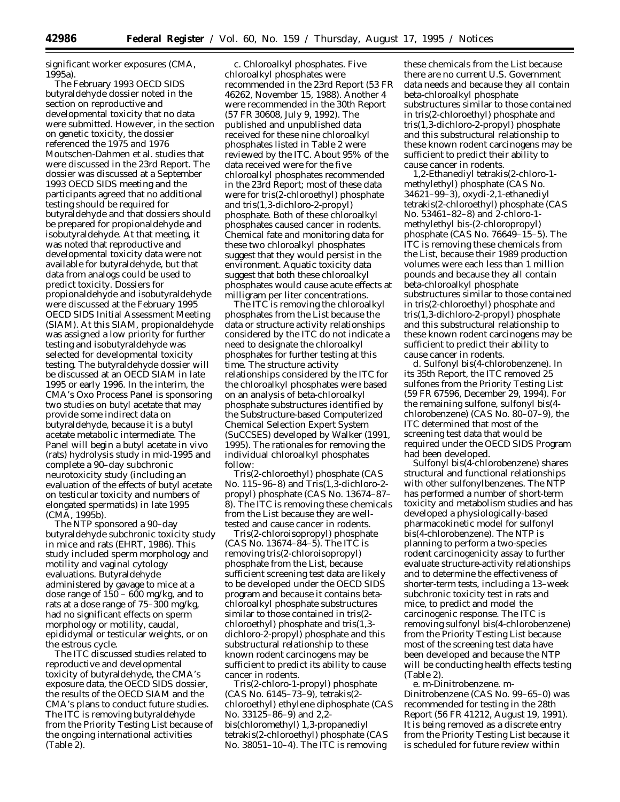significant worker exposures (CMA, 1995a).

The February 1993 OECD SIDS butyraldehyde dossier noted in the section on reproductive and developmental toxicity that no data were submitted. However, in the section on genetic toxicity, the dossier referenced the 1975 and 1976 Moutschen-Dahmen et al. studies that were discussed in the 23rd Report. The dossier was discussed at a September 1993 OECD SIDS meeting and the participants agreed that no additional testing should be required for butyraldehyde and that dossiers should be prepared for propionaldehyde and isobutyraldehyde. At that meeting, it was noted that reproductive and developmental toxicity data were not available for butyraldehyde, but that data from analogs could be used to predict toxicity. Dossiers for propionaldehyde and isobutyraldehyde were discussed at the February 1995 OECD SIDS Initial Assessment Meeting (SIAM). At this SIAM, propionaldehyde was assigned a low priority for further testing and isobutyraldehyde was selected for developmental toxicity testing. The butyraldehyde dossier will be discussed at an OECD SIAM in late 1995 or early 1996. In the interim, the CMA's Oxo Process Panel is sponsoring two studies on butyl acetate that may provide some indirect data on butyraldehyde, because it is a butyl acetate metabolic intermediate. The Panel will begin a butyl acetate in vivo (rats) hydrolysis study in mid-1995 and complete a 90–day subchronic neurotoxicity study (including an evaluation of the effects of butyl acetate on testicular toxicity and numbers of elongated spermatids) in late 1995 (CMA, 1995b).

The NTP sponsored a 90–day butyraldehyde subchronic toxicity study in mice and rats (EHRT, 1986). This study included sperm morphology and motility and vaginal cytology evaluations. Butyraldehyde administered by gavage to mice at a dose range of  $150 - 600$  mg/kg, and to rats at a dose range of 75–300 mg/kg, had no significant effects on sperm morphology or motility, caudal, epididymal or testicular weights, or on the estrous cycle.

The ITC discussed studies related to reproductive and developmental toxicity of butyraldehyde, the CMA's exposure data, the OECD SIDS dossier, the results of the OECD SIAM and the CMA's plans to conduct future studies. The ITC is removing butyraldehyde from the Priority Testing List because of the ongoing international activities (Table 2).

c. *Chloroalkyl phosphates.* Five chloroalkyl phosphates were recommended in the 23rd Report (53 FR 46262, November 15, 1988). Another 4 were recommended in the 30th Report (57 FR 30608, July 9, 1992). The published and unpublished data received for these nine chloroalkyl phosphates listed in Table 2 were reviewed by the ITC. About 95% of the data received were for the five chloroalkyl phosphates recommended in the 23rd Report; most of these data were for tris(2-chloroethyl) phosphate and tris(1,3-dichloro-2-propyl) phosphate. Both of these chloroalkyl phosphates caused cancer in rodents. Chemical fate and monitoring data for these two chloroalkyl phosphates suggest that they would persist in the environment. Aquatic toxicity data suggest that both these chloroalkyl phosphates would cause acute effects at milligram per liter concentrations.

The ITC is removing the chloroalkyl phosphates from the List because the data or structure activity relationships considered by the ITC do not indicate a need to designate the chloroalkyl phosphates for further testing at this time. The structure activity relationships considered by the ITC for the chloroalkyl phosphates were based on an analysis of beta-chloroalkyl phosphate substructures identified by the Substructure-based Computerized Chemical Selection Expert System (SuCCSES) developed by Walker (1991, 1995). The rationales for removing the individual chloroalkyl phosphates follow:

Tris(2-chloroethyl) phosphate (CAS No. 115–96–8) and Tris(1,3-dichloro-2 propyl) phosphate (CAS No. 13674–87– 8). The ITC is removing these chemicals from the List because they are welltested and cause cancer in rodents.

Tris(2-chloroisopropyl) phosphate (CAS No. 13674–84–5). The ITC is removing tris(2-chloroisopropyl) phosphate from the List, because sufficient screening test data are likely to be developed under the OECD SIDS program and because it contains betachloroalkyl phosphate substructures similar to those contained in tris(2 chloroethyl) phosphate and tris(1,3 dichloro-2-propyl) phosphate and this substructural relationship to these known rodent carcinogens may be sufficient to predict its ability to cause cancer in rodents.

Tris(2-chloro-1-propyl) phosphate (CAS No. 6145–73–9), tetrakis(2 chloroethyl) ethylene diphosphate (CAS No. 33125–86–9) and 2,2 bis(chloromethyl) 1,3-propanediyl tetrakis(2-chloroethyl) phosphate (CAS No. 38051–10–4). The ITC is removing

these chemicals from the List because there are no current U.S. Government data needs and because they all contain beta-chloroalkyl phosphate substructures similar to those contained in tris(2-chloroethyl) phosphate and tris(1,3-dichloro-2-propyl) phosphate and this substructural relationship to these known rodent carcinogens may be sufficient to predict their ability to cause cancer in rodents.

1,2-Ethanediyl tetrakis(2-chloro-1 methylethyl) phosphate (CAS No. 34621–99–3), oxydi-2,1-ethanediyl tetrakis(2-chloroethyl) phosphate (CAS No. 53461–82–8) and 2-chloro-1 methylethyl bis-(2-chloropropyl) phosphate (CAS No. 76649–15–5). The ITC is removing these chemicals from the List, because their 1989 production volumes were each less than 1 million pounds and because they all contain beta-chloroalkyl phosphate substructures similar to those contained in tris(2-chloroethyl) phosphate and tris(1,3-dichloro-2-propyl) phosphate and this substructural relationship to these known rodent carcinogens may be sufficient to predict their ability to cause cancer in rodents.

d. *Sulfonyl bis(4-chlorobenzene).* In its 35th Report, the ITC removed 25 sulfones from the Priority Testing List (59 FR 67596, December 29, 1994). For the remaining sulfone, sulfonyl bis(4 chlorobenzene) (CAS No. 80–07–9), the ITC determined that most of the screening test data that would be required under the OECD SIDS Program had been developed.

Sulfonyl bis(4-chlorobenzene) shares structural and functional relationships with other sulfonylbenzenes. The NTP has performed a number of short-term toxicity and metabolism studies and has developed a physiologically-based pharmacokinetic model for sulfonyl bis(4-chlorobenzene). The NTP is planning to perform a two-species rodent carcinogenicity assay to further evaluate structure-activity relationships and to determine the effectiveness of shorter-term tests, including a 13–week subchronic toxicity test in rats and mice, to predict and model the carcinogenic response. The ITC is removing sulfonyl bis(4-chlorobenzene) from the Priority Testing List because most of the screening test data have been developed and because the NTP will be conducting health effects testing (Table 2).

e. *m-*Dinitrobenzene. *m*-Dinitrobenzene (CAS No. 99–65–0) was recommended for testing in the 28th Report (56 FR 41212, August 19, 1991). It is being removed as a discrete entry from the Priority Testing List because it is scheduled for future review within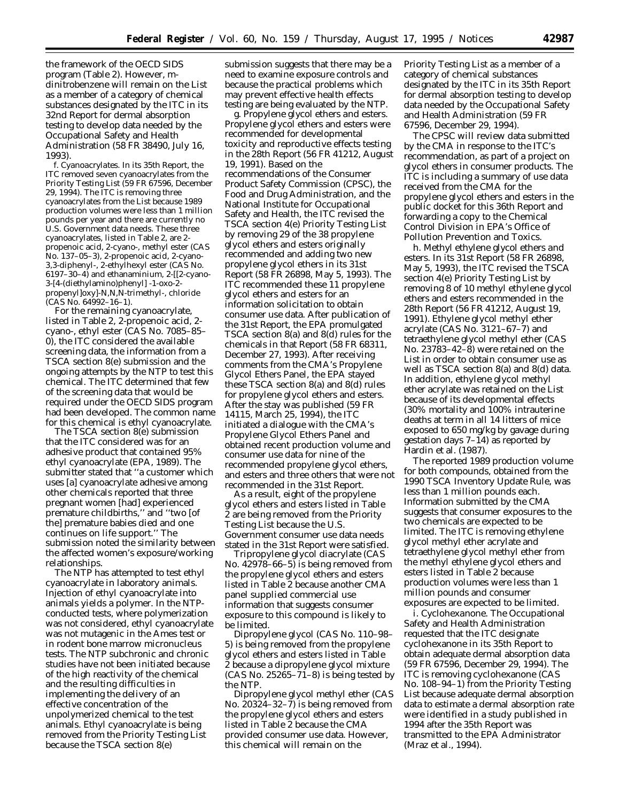the framework of the OECD SIDS program (Table 2). However, *m*dinitrobenzene will remain on the List as a member of a category of chemical substances designated by the ITC in its 32nd Report for dermal absorption testing to develop data needed by the Occupational Safety and Health Administration (58 FR 38490, July 16, 1993).

f. *Cyanoacrylates.* In its 35th Report, the ITC removed seven cyanoacrylates from the Priority Testing List (59 FR 67596, December 29, 1994). The ITC is removing three cyanoacrylates from the List because 1989 production volumes were less than 1 million pounds per year and there are currently no U.S. Government data needs. These three cyanoacrylates, listed in Table 2, are 2 propenoic acid, 2-cyano-, methyl ester (CAS No. 137–05–3), 2-propenoic acid, 2-cyano-3,3-diphenyl-, 2-ethylhexyl ester (CAS No. 6197–30–4) and ethanaminium, 2-[[2-cyano-3-[4-(diethylamino)phenyl] -1-oxo-2 propenyl]oxy]-*N,N,N*-trimethyl-, chloride (CAS No. 64992–16–1).

For the remaining cyanoacrylate, listed in Table 2, 2-propenoic acid, 2 cyano-, ethyl ester (CAS No. 7085–85– 0), the ITC considered the available screening data, the information from a TSCA section 8(e) submission and the ongoing attempts by the NTP to test this chemical. The ITC determined that few of the screening data that would be required under the OECD SIDS program had been developed. The common name for this chemical is ethyl cyanoacrylate.

The TSCA section 8(e) submission that the ITC considered was for an adhesive product that contained 95% ethyl cyanoacrylate (EPA, 1989). The submitter stated that ''a customer which uses [a] cyanoacrylate adhesive among other chemicals reported that three pregnant women [had] experienced premature childbirths,'' and ''two [of the] premature babies died and one continues on life support.'' The submission noted the similarity between the affected women's exposure/working relationships.

The NTP has attempted to test ethyl cyanoacrylate in laboratory animals. Injection of ethyl cyanoacrylate into animals yields a polymer. In the NTPconducted tests, where polymerization was not considered, ethyl cyanoacrylate was not mutagenic in the Ames test or in rodent bone marrow micronucleus tests. The NTP subchronic and chronic studies have not been initiated because of the high reactivity of the chemical and the resulting difficulties in implementing the delivery of an effective concentration of the unpolymerized chemical to the test animals. Ethyl cyanoacrylate is being removed from the Priority Testing List because the TSCA section 8(e)

submission suggests that there may be a need to examine exposure controls and because the practical problems which may prevent effective health effects testing are being evaluated by the NTP.

g. *Propylene glycol ethers and esters.* Propylene glycol ethers and esters were recommended for developmental toxicity and reproductive effects testing in the 28th Report (56 FR 41212, August 19, 1991). Based on the recommendations of the Consumer Product Safety Commission (CPSC), the Food and Drug Administration, and the National Institute for Occupational Safety and Health, the ITC revised the TSCA section 4(e) Priority Testing List by removing 29 of the 38 propylene glycol ethers and esters originally recommended and adding two new propylene glycol ethers in its 31st Report (58 FR 26898, May 5, 1993). The ITC recommended these 11 propylene glycol ethers and esters for an information solicitation to obtain consumer use data. After publication of the 31st Report, the EPA promulgated TSCA section 8(a) and 8(d) rules for the chemicals in that Report (58 FR 68311, December 27, 1993). After receiving comments from the CMA's Propylene Glycol Ethers Panel, the EPA stayed these TSCA section 8(a) and 8(d) rules for propylene glycol ethers and esters. After the stay was published (59 FR 14115, March 25, 1994), the ITC initiated a dialogue with the CMA's Propylene Glycol Ethers Panel and obtained recent production volume and consumer use data for nine of the recommended propylene glycol ethers, and esters and three others that were not recommended in the 31st Report.

As a result, eight of the propylene glycol ethers and esters listed in Table 2 are being removed from the Priority Testing List because the U.S. Government consumer use data needs stated in the 31st Report were satisfied.

Tripropylene glycol diacrylate (CAS No. 42978–66–5) is being removed from the propylene glycol ethers and esters listed in Table 2 because another CMA panel supplied commercial use information that suggests consumer exposure to this compound is likely to be limited.

Dipropylene glycol (CAS No. 110–98– 5) is being removed from the propylene glycol ethers and esters listed in Table 2 because a dipropylene glycol mixture  $(CAS No. 25265-71-8)$  is being tested by the NTP.

Dipropylene glycol methyl ether (CAS No. 20324–32–7) is being removed from the propylene glycol ethers and esters listed in Table 2 because the CMA provided consumer use data. However, this chemical will remain on the

Priority Testing List as a member of a category of chemical substances designated by the ITC in its 35th Report for dermal absorption testing to develop data needed by the Occupational Safety and Health Administration (59 FR 67596, December 29, 1994).

The CPSC will review data submitted by the CMA in response to the ITC's recommendation, as part of a project on glycol ethers in consumer products. The ITC is including a summary of use data received from the CMA for the propylene glycol ethers and esters in the public docket for this 36th Report and forwarding a copy to the Chemical Control Division in EPA's Office of Pollution Prevention and Toxics.

h. *Methyl ethylene glycol ethers and esters.* In its 31st Report (58 FR 26898, May 5, 1993), the ITC revised the TSCA section 4(e) Priority Testing List by removing 8 of 10 methyl ethylene glycol ethers and esters recommended in the 28th Report (56 FR 41212, August 19, 1991). Ethylene glycol methyl ether acrylate (CAS No. 3121–67–7) and tetraethylene glycol methyl ether (CAS No. 23783–42–8) were retained on the List in order to obtain consumer use as well as TSCA section 8(a) and 8(d) data. In addition, ethylene glycol methyl ether acrylate was retained on the List because of its developmental effects (30% mortality and 100% intrauterine deaths at term in all 14 litters of mice exposed to 650 mg/kg by gavage during gestation days 7–14) as reported by Hardin et al. (1987).

The reported 1989 production volume for both compounds, obtained from the 1990 TSCA Inventory Update Rule, was less than 1 million pounds each. Information submitted by the CMA suggests that consumer exposures to the two chemicals are expected to be limited. The ITC is removing ethylene glycol methyl ether acrylate and tetraethylene glycol methyl ether from the methyl ethylene glycol ethers and esters listed in Table 2 because production volumes were less than 1 million pounds and consumer exposures are expected to be limited.

i. *Cyclohexanone.* The Occupational Safety and Health Administration requested that the ITC designate cyclohexanone in its 35th Report to obtain adequate dermal absorption data (59 FR 67596, December 29, 1994). The ITC is removing cyclohexanone (CAS No. 108–94–1) from the Priority Testing List because adequate dermal absorption data to estimate a dermal absorption rate were identified in a study published in 1994 after the 35th Report was transmitted to the EPA Administrator (Mraz et al., 1994).